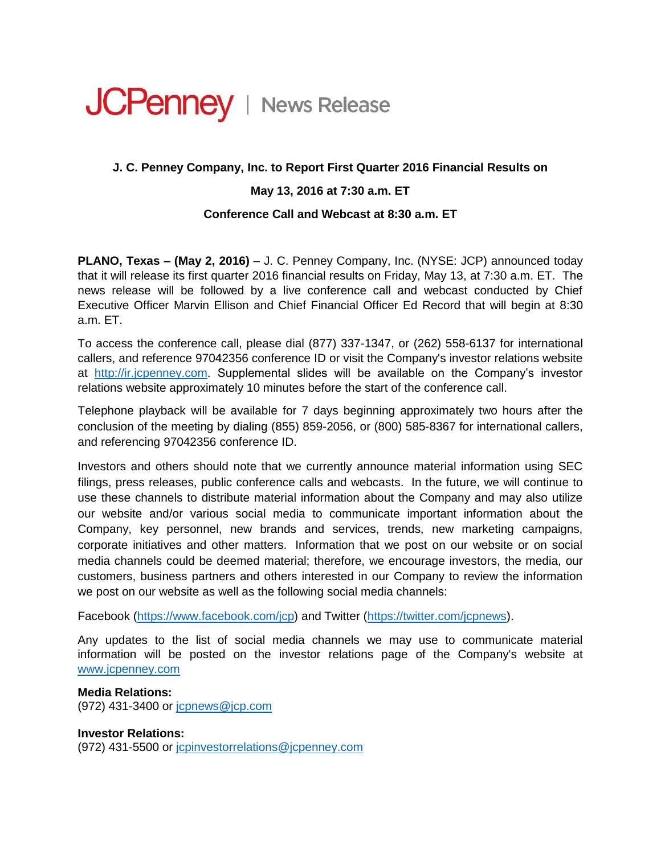# **JCPenney** | News Release

## **J. C. Penney Company, Inc. to Report First Quarter 2016 Financial Results on**

### **May 13, 2016 at 7:30 a.m. ET**

#### **Conference Call and Webcast at 8:30 a.m. ET**

**PLANO, Texas – (May 2, 2016)** – J. C. Penney Company, Inc. (NYSE: JCP) announced today that it will release its first quarter 2016 financial results on Friday, May 13, at 7:30 a.m. ET. The news release will be followed by a live conference call and webcast conducted by Chief Executive Officer Marvin Ellison and Chief Financial Officer Ed Record that will begin at 8:30 a.m. ET.

To access the conference call, please dial (877) 337-1347, or (262) 558-6137 for international callers, and reference 97042356 conference ID or visit the Company's investor relations website at [http://ir.jcpenney.com.](http://ir.jcpenney.com/) Supplemental slides will be available on the Company's investor relations website approximately 10 minutes before the start of the conference call.

Telephone playback will be available for 7 days beginning approximately two hours after the conclusion of the meeting by dialing (855) 859-2056, or (800) 585-8367 for international callers, and referencing 97042356 conference ID.

Investors and others should note that we currently announce material information using SEC filings, press releases, public conference calls and webcasts. In the future, we will continue to use these channels to distribute material information about the Company and may also utilize our website and/or various social media to communicate important information about the Company, key personnel, new brands and services, trends, new marketing campaigns, corporate initiatives and other matters. Information that we post on our website or on social media channels could be deemed material; therefore, we encourage investors, the media, our customers, business partners and others interested in our Company to review the information we post on our website as well as the following social media channels:

Facebook [\(https://www.facebook.com/jcp\)](https://www.facebook.com/jcp) and Twitter [\(https://twitter.com/jcpnews\)](https://twitter.com/jcpnews).

Any updates to the list of social media channels we may use to communicate material information will be posted on the investor relations page of the Company's website at [www.jcpenney.com](http://www.jcpenney.com/)

**Media Relations:**  (972) 431-3400 or [jcpnews@jcp.com](mailto:jcpnews@jcp.com)

**Investor Relations:**  (972) 431-5500 or [jcpinvestorrelations@jcpenney.com](mailto:jcpinvestorrelations@jcpenney.com)